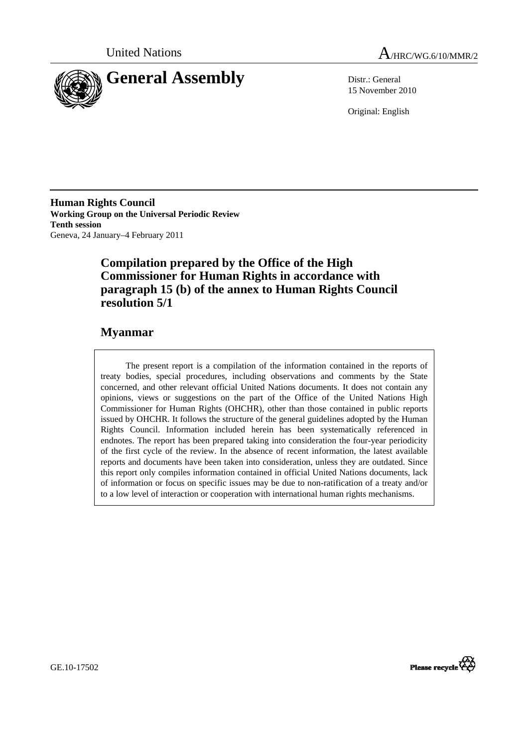

United Nations  $A_{HRC/WG.6/10/MMR/2}$ 

15 November 2010

Original: English

**Human Rights Council Working Group on the Universal Periodic Review Tenth session**  Geneva, 24 January–4 February 2011

# **Compilation prepared by the Office of the High Commissioner for Human Rights in accordance with paragraph 15 (b) of the annex to Human Rights Council resolution 5/1**

# **Myanmar**

The present report is a compilation of the information contained in the reports of treaty bodies, special procedures, including observations and comments by the State concerned, and other relevant official United Nations documents. It does not contain any opinions, views or suggestions on the part of the Office of the United Nations High Commissioner for Human Rights (OHCHR), other than those contained in public reports issued by OHCHR. It follows the structure of the general guidelines adopted by the Human Rights Council. Information included herein has been systematically referenced in endnotes. The report has been prepared taking into consideration the four-year periodicity of the first cycle of the review. In the absence of recent information, the latest available reports and documents have been taken into consideration, unless they are outdated. Since this report only compiles information contained in official United Nations documents, lack of information or focus on specific issues may be due to non-ratification of a treaty and/or to a low level of interaction or cooperation with international human rights mechanisms.



GE.10-17502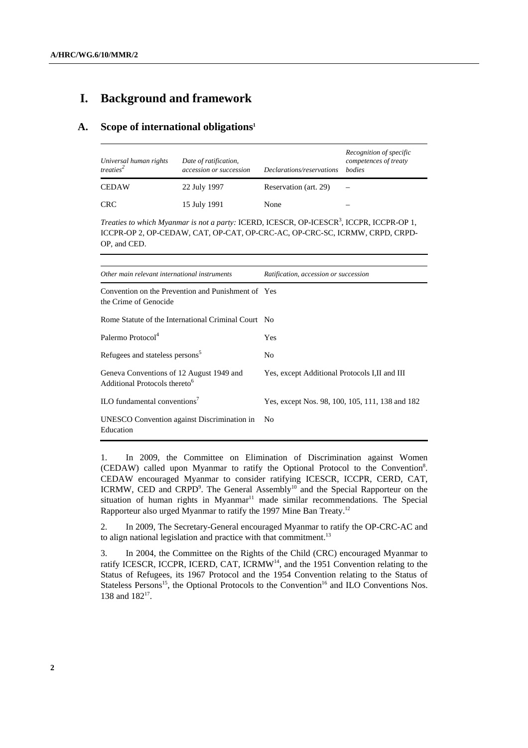## **I. Background and framework**

## **A. Scope of international obligations1**

| Universal human rights<br>treaties <sup>2</sup> | Date of ratification,<br>accession or succession | Declarations/reservations | Recognition of specific<br>competences of treaty<br><i>bodies</i> |
|-------------------------------------------------|--------------------------------------------------|---------------------------|-------------------------------------------------------------------|
| <b>CEDAW</b>                                    | 22 July 1997                                     | Reservation (art. 29)     |                                                                   |
| <b>CRC</b>                                      | 15 July 1991                                     | None                      |                                                                   |

Treaties to which Myanmar is not a party: ICERD, ICESCR, OP-ICESCR<sup>3</sup>, ICCPR, ICCPR-OP 1, ICCPR-OP 2, OP-CEDAW, CAT, OP-CAT, OP-CRC-AC, OP-CRC-SC, ICRMW, CRPD, CRPD-OP, and CED.

| Other main relevant international instruments                                         | Ratification, accession or succession           |  |
|---------------------------------------------------------------------------------------|-------------------------------------------------|--|
| Convention on the Prevention and Punishment of Yes<br>the Crime of Genocide           |                                                 |  |
| Rome Statute of the International Criminal Court No                                   |                                                 |  |
| Palermo Protocol <sup>4</sup>                                                         | Yes                                             |  |
| Refugees and stateless persons <sup>5</sup>                                           | No                                              |  |
| Geneva Conventions of 12 August 1949 and<br>Additional Protocols thereto <sup>6</sup> | Yes, except Additional Protocols I, II and III  |  |
| $\rm ILO$ fundamental conventions <sup>7</sup>                                        | Yes, except Nos. 98, 100, 105, 111, 138 and 182 |  |
| UNESCO Convention against Discrimination in<br>Education                              | N <sub>o</sub>                                  |  |

1. In 2009, the Committee on Elimination of Discrimination against Women (CEDAW) called upon Myanmar to ratify the Optional Protocol to the Convention<sup>8</sup>. CEDAW encouraged Myanmar to consider ratifying ICESCR, ICCPR, CERD, CAT, ICRMW, CED and CRPD<sup>9</sup>. The General Assembly<sup>10</sup> and the Special Rapporteur on the situation of human rights in Myanmar $11$  made similar recommendations. The Special Rapporteur also urged Myanmar to ratify the 1997 Mine Ban Treaty.12

2. In 2009, The Secretary-General encouraged Myanmar to ratify the OP-CRC-AC and to align national legislation and practice with that commitment.<sup>13</sup>

3. In 2004, the Committee on the Rights of the Child (CRC) encouraged Myanmar to ratify ICESCR, ICCPR, ICERD, CAT, ICRMW<sup>14</sup>, and the 1951 Convention relating to the Status of Refugees, its 1967 Protocol and the 1954 Convention relating to the Status of Stateless Persons<sup>15</sup>, the Optional Protocols to the Convention<sup>16</sup> and ILO Conventions Nos. 138 and 182<sup>17</sup>.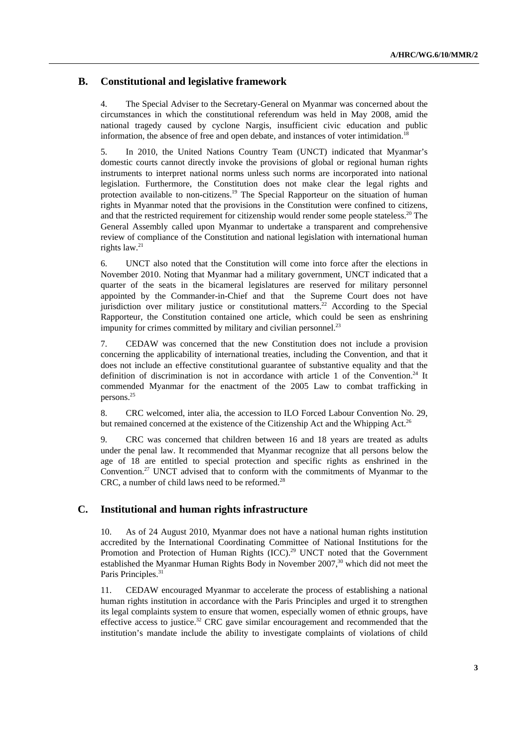## **B. Constitutional and legislative framework**

4. The Special Adviser to the Secretary-General on Myanmar was concerned about the circumstances in which the constitutional referendum was held in May 2008, amid the national tragedy caused by cyclone Nargis, insufficient civic education and public information, the absence of free and open debate, and instances of voter intimidation.<sup>18</sup>

5. In 2010, the United Nations Country Team (UNCT) indicated that Myanmar's domestic courts cannot directly invoke the provisions of global or regional human rights instruments to interpret national norms unless such norms are incorporated into national legislation. Furthermore, the Constitution does not make clear the legal rights and protection available to non-citizens.<sup>19</sup> The Special Rapporteur on the situation of human rights in Myanmar noted that the provisions in the Constitution were confined to citizens, and that the restricted requirement for citizenship would render some people stateless.<sup>20</sup> The General Assembly called upon Myanmar to undertake a transparent and comprehensive review of compliance of the Constitution and national legislation with international human rights law.<sup>21</sup>

6. UNCT also noted that the Constitution will come into force after the elections in November 2010. Noting that Myanmar had a military government, UNCT indicated that a quarter of the seats in the bicameral legislatures are reserved for military personnel appointed by the Commander-in-Chief and that the Supreme Court does not have jurisdiction over military justice or constitutional matters.<sup>22</sup> According to the Special Rapporteur, the Constitution contained one article, which could be seen as enshrining impunity for crimes committed by military and civilian personnel.<sup>23</sup>

7. CEDAW was concerned that the new Constitution does not include a provision concerning the applicability of international treaties, including the Convention, and that it does not include an effective constitutional guarantee of substantive equality and that the definition of discrimination is not in accordance with article 1 of the Convention.<sup>24</sup> It commended Myanmar for the enactment of the 2005 Law to combat trafficking in persons.25

8. CRC welcomed, inter alia, the accession to ILO Forced Labour Convention No. 29, but remained concerned at the existence of the Citizenship Act and the Whipping Act.<sup>26</sup>

9. CRC was concerned that children between 16 and 18 years are treated as adults under the penal law. It recommended that Myanmar recognize that all persons below the age of 18 are entitled to special protection and specific rights as enshrined in the Convention.27 UNCT advised that to conform with the commitments of Myanmar to the CRC, a number of child laws need to be reformed.<sup>28</sup>

## **C. Institutional and human rights infrastructure**

10. As of 24 August 2010, Myanmar does not have a national human rights institution accredited by the International Coordinating Committee of National Institutions for the Promotion and Protection of Human Rights (ICC).<sup>29</sup> UNCT noted that the Government established the Myanmar Human Rights Body in November 2007,<sup>30</sup> which did not meet the Paris Principles.<sup>3</sup>

11. CEDAW encouraged Myanmar to accelerate the process of establishing a national human rights institution in accordance with the Paris Principles and urged it to strengthen its legal complaints system to ensure that women, especially women of ethnic groups, have effective access to justice.<sup>32</sup> CRC gave similar encouragement and recommended that the institution's mandate include the ability to investigate complaints of violations of child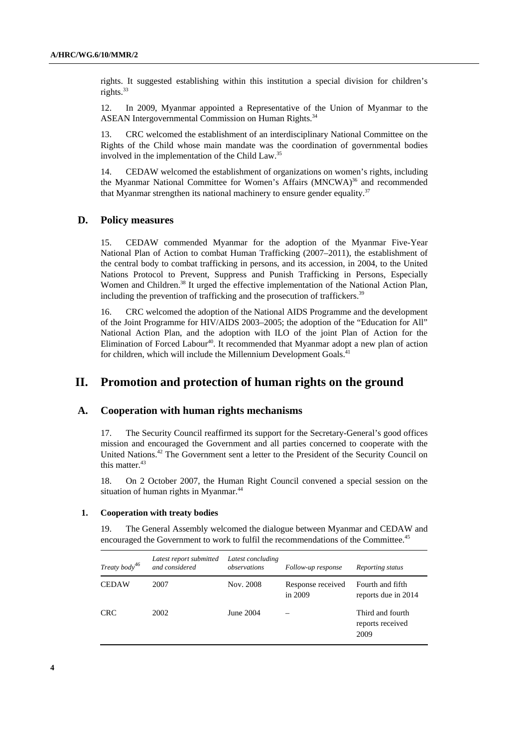rights. It suggested establishing within this institution a special division for children's rights. $33$ 

12. In 2009, Myanmar appointed a Representative of the Union of Myanmar to the ASEAN Intergovernmental Commission on Human Rights.<sup>34</sup>

13. CRC welcomed the establishment of an interdisciplinary National Committee on the Rights of the Child whose main mandate was the coordination of governmental bodies involved in the implementation of the Child Law.35

14. CEDAW welcomed the establishment of organizations on women's rights, including the Myanmar National Committee for Women's Affairs (MNCWA)<sup>36</sup> and recommended that Myanmar strengthen its national machinery to ensure gender equality.<sup>37</sup>

## **D. Policy measures**

15. CEDAW commended Myanmar for the adoption of the Myanmar Five-Year National Plan of Action to combat Human Trafficking (2007–2011), the establishment of the central body to combat trafficking in persons, and its accession, in 2004, to the United Nations Protocol to Prevent, Suppress and Punish Trafficking in Persons, Especially Women and Children.<sup>38</sup> It urged the effective implementation of the National Action Plan, including the prevention of trafficking and the prosecution of traffickers.<sup>39</sup>

16. CRC welcomed the adoption of the National AIDS Programme and the development of the Joint Programme for HIV/AIDS 2003–2005; the adoption of the "Education for All" National Action Plan, and the adoption with ILO of the joint Plan of Action for the Elimination of Forced Labour<sup>40</sup>. It recommended that Myanmar adopt a new plan of action for children, which will include the Millennium Development Goals.<sup>4</sup>

## **II. Promotion and protection of human rights on the ground**

### **A. Cooperation with human rights mechanisms**

17. The Security Council reaffirmed its support for the Secretary-General's good offices mission and encouraged the Government and all parties concerned to cooperate with the United Nations.42 The Government sent a letter to the President of the Security Council on this matter. $43$ 

18. On 2 October 2007, the Human Right Council convened a special session on the situation of human rights in Myanmar.<sup>44</sup>

#### **1. Cooperation with treaty bodies**

19. The General Assembly welcomed the dialogue between Myanmar and CEDAW and encouraged the Government to work to fulfil the recommendations of the Committee.<sup>45</sup>

| Treaty body <sup>46</sup> | Latest report submitted<br>and considered | Latest concluding<br>observations | Follow-up response             | Reporting status                             |
|---------------------------|-------------------------------------------|-----------------------------------|--------------------------------|----------------------------------------------|
| <b>CEDAW</b>              | 2007                                      | Nov. 2008                         | Response received<br>in $2009$ | Fourth and fifth<br>reports due in 2014      |
| <b>CRC</b>                | 2002                                      | June 2004                         | —                              | Third and fourth<br>reports received<br>2009 |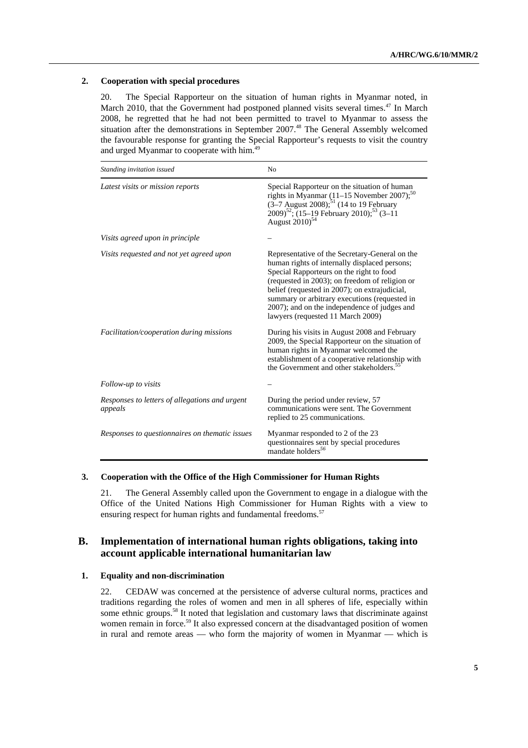### **2. Cooperation with special procedures**

20. The Special Rapporteur on the situation of human rights in Myanmar noted, in March 2010, that the Government had postponed planned visits several times.<sup>47</sup> In March 2008, he regretted that he had not been permitted to travel to Myanmar to assess the situation after the demonstrations in September 2007.<sup>48</sup> The General Assembly welcomed the favourable response for granting the Special Rapporteur's requests to visit the country and urged Myanmar to cooperate with him.<sup>49</sup>

| Standing invitation issued                                | N <sub>0</sub>                                                                                                                                                                                                                                                                                                                                                                       |  |
|-----------------------------------------------------------|--------------------------------------------------------------------------------------------------------------------------------------------------------------------------------------------------------------------------------------------------------------------------------------------------------------------------------------------------------------------------------------|--|
| Latest visits or mission reports                          | Special Rapporteur on the situation of human<br>rights in Myanmar $(11-15$ November 2007); <sup>50</sup><br>$(3-7$ August 2008); <sup>51</sup> (14 to 19 February<br>2009) <sup>52</sup> ; (15-19 February 2010); <sup>53</sup> (3-11<br>August 2010) <sup>54</sup>                                                                                                                  |  |
| Visits agreed upon in principle                           |                                                                                                                                                                                                                                                                                                                                                                                      |  |
| Visits requested and not yet agreed upon                  | Representative of the Secretary-General on the<br>human rights of internally displaced persons;<br>Special Rapporteurs on the right to food<br>(requested in 2003); on freedom of religion or<br>belief (requested in 2007); on extrajudicial,<br>summary or arbitrary executions (requested in<br>2007); and on the independence of judges and<br>lawyers (requested 11 March 2009) |  |
| Facilitation/cooperation during missions                  | During his visits in August 2008 and February<br>2009, the Special Rapporteur on the situation of<br>human rights in Myanmar welcomed the<br>establishment of a cooperative relationship with<br>the Government and other stakeholders. <sup>55</sup>                                                                                                                                |  |
| Follow-up to visits                                       |                                                                                                                                                                                                                                                                                                                                                                                      |  |
| Responses to letters of allegations and urgent<br>appeals | During the period under review, 57<br>communications were sent. The Government<br>replied to 25 communications.                                                                                                                                                                                                                                                                      |  |
| Responses to questionnaires on thematic issues            | Myanmar responded to 2 of the 23<br>questionnaires sent by special procedures<br>mandate holders <sup>56</sup>                                                                                                                                                                                                                                                                       |  |

### **3. Cooperation with the Office of the High Commissioner for Human Rights**

21. The General Assembly called upon the Government to engage in a dialogue with the Office of the United Nations High Commissioner for Human Rights with a view to ensuring respect for human rights and fundamental freedoms.<sup>57</sup>

## **B. Implementation of international human rights obligations, taking into account applicable international humanitarian law**

### **1. Equality and non-discrimination**

22. CEDAW was concerned at the persistence of adverse cultural norms, practices and traditions regarding the roles of women and men in all spheres of life, especially within some ethnic groups.<sup>58</sup> It noted that legislation and customary laws that discriminate against women remain in force.<sup>59</sup> It also expressed concern at the disadvantaged position of women in rural and remote areas — who form the majority of women in Myanmar — which is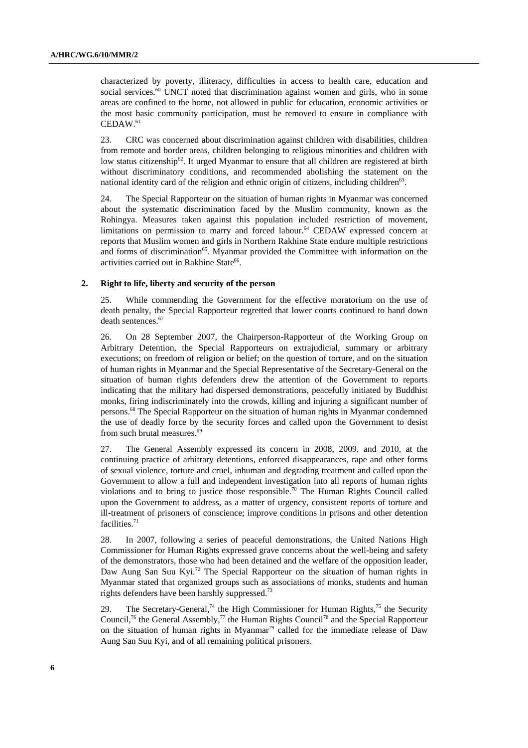characterized by poverty, illiteracy, difficulties in access to health care, education and social services.<sup>60</sup> UNCT noted that discrimination against women and girls, who in some areas are confined to the home, not allowed in public for education, economic activities or the most basic community participation, must be removed to ensure in compliance with  $CEDAW.<sup>61</sup>$ 

23. CRC was concerned about discrimination against children with disabilities, children from remote and border areas, children belonging to religious minorities and children with low status citizenship<sup>62</sup>. It urged Myanmar to ensure that all children are registered at birth without discriminatory conditions, and recommended abolishing the statement on the national identity card of the religion and ethnic origin of citizens, including children<sup>63</sup>.

24. The Special Rapporteur on the situation of human rights in Myanmar was concerned about the systematic discrimination faced by the Muslim community, known as the Rohingya. Measures taken against this population included restriction of movement, limitations on permission to marry and forced labour.<sup>64</sup> CEDAW expressed concern at reports that Muslim women and girls in Northern Rakhine State endure multiple restrictions and forms of discrimination<sup>65</sup>. Myanmar provided the Committee with information on the activities carried out in Rakhine State<sup>66</sup>.

#### **2. Right to life, liberty and security of the person**

25. While commending the Government for the effective moratorium on the use of death penalty, the Special Rapporteur regretted that lower courts continued to hand down death sentences.<sup>67</sup>

26. On 28 September 2007, the Chairperson-Rapporteur of the Working Group on Arbitrary Detention, the Special Rapporteurs on extrajudicial, summary or arbitrary executions; on freedom of religion or belief; on the question of torture, and on the situation of human rights in Myanmar and the Special Representative of the Secretary-General on the situation of human rights defenders drew the attention of the Government to reports indicating that the military had dispersed demonstrations, peacefully initiated by Buddhist monks, firing indiscriminately into the crowds, killing and injuring a significant number of persons.<sup>68</sup> The Special Rapporteur on the situation of human rights in Myanmar condemned the use of deadly force by the security forces and called upon the Government to desist from such brutal measures.<sup>69</sup>

27. The General Assembly expressed its concern in 2008, 2009, and 2010, at the continuing practice of arbitrary detentions, enforced disappearances, rape and other forms of sexual violence, torture and cruel, inhuman and degrading treatment and called upon the Government to allow a full and independent investigation into all reports of human rights violations and to bring to justice those responsible.<sup>70</sup> The Human Rights Council called upon the Government to address, as a matter of urgency, consistent reports of torture and ill-treatment of prisoners of conscience; improve conditions in prisons and other detention facilities. $71$ 

28. In 2007, following a series of peaceful demonstrations, the United Nations High Commissioner for Human Rights expressed grave concerns about the well-being and safety of the demonstrators, those who had been detained and the welfare of the opposition leader, Daw Aung San Suu Kyi.<sup>72</sup> The Special Rapporteur on the situation of human rights in Myanmar stated that organized groups such as associations of monks, students and human rights defenders have been harshly suppressed.73

29. The Secretary-General,<sup>74</sup> the High Commissioner for Human Rights,<sup>75</sup> the Security Council,<sup>76</sup> the General Assembly,<sup>77</sup> the Human Rights Council<sup>78</sup> and the Special Rapporteur on the situation of human rights in Myanmar<sup>79</sup> called for the immediate release of Daw Aung San Suu Kyi, and of all remaining political prisoners.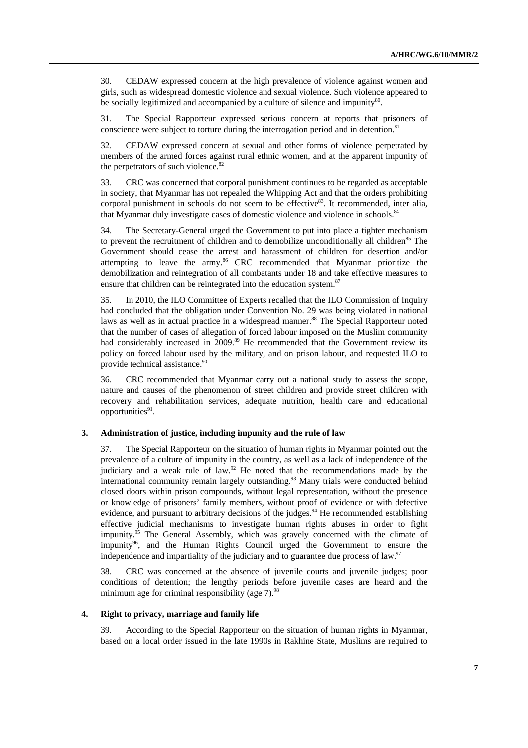30. CEDAW expressed concern at the high prevalence of violence against women and girls, such as widespread domestic violence and sexual violence. Such violence appeared to be socially legitimized and accompanied by a culture of silence and impunity<sup>80</sup>.

31. The Special Rapporteur expressed serious concern at reports that prisoners of conscience were subject to torture during the interrogation period and in detention.<sup>81</sup>

32. CEDAW expressed concern at sexual and other forms of violence perpetrated by members of the armed forces against rural ethnic women, and at the apparent impunity of the perpetrators of such violence. $82$ 

33. CRC was concerned that corporal punishment continues to be regarded as acceptable in society, that Myanmar has not repealed the Whipping Act and that the orders prohibiting corporal punishment in schools do not seem to be effective $83$ . It recommended, inter alia, that Myanmar duly investigate cases of domestic violence and violence in schools.<sup>84</sup>

34. The Secretary-General urged the Government to put into place a tighter mechanism to prevent the recruitment of children and to demobilize unconditionally all children<sup>85</sup> The Government should cease the arrest and harassment of children for desertion and/or attempting to leave the army. $86$  CRC recommended that Myanmar prioritize the demobilization and reintegration of all combatants under 18 and take effective measures to ensure that children can be reintegrated into the education system.<sup>87</sup>

35. In 2010, the ILO Committee of Experts recalled that the ILO Commission of Inquiry had concluded that the obligation under Convention No. 29 was being violated in national laws as well as in actual practice in a widespread manner.<sup>88</sup> The Special Rapporteur noted that the number of cases of allegation of forced labour imposed on the Muslim community had considerably increased in 2009.<sup>89</sup> He recommended that the Government review its policy on forced labour used by the military, and on prison labour, and requested ILO to provide technical assistance.<sup>90</sup>

36. CRC recommended that Myanmar carry out a national study to assess the scope, nature and causes of the phenomenon of street children and provide street children with recovery and rehabilitation services, adequate nutrition, health care and educational opportunities<sup>91</sup>.

#### **3. Administration of justice, including impunity and the rule of law**

37. The Special Rapporteur on the situation of human rights in Myanmar pointed out the prevalence of a culture of impunity in the country, as well as a lack of independence of the judiciary and a weak rule of law.<sup>92</sup> He noted that the recommendations made by the international community remain largely outstanding.<sup>93</sup> Many trials were conducted behind closed doors within prison compounds, without legal representation, without the presence or knowledge of prisoners' family members, without proof of evidence or with defective evidence, and pursuant to arbitrary decisions of the judges.<sup>94</sup> He recommended establishing effective judicial mechanisms to investigate human rights abuses in order to fight impunity.<sup>95</sup> The General Assembly, which was gravely concerned with the climate of impunity<sup>96</sup>, and the Human Rights Council urged the Government to ensure the independence and impartiality of the judiciary and to guarantee due process of law.97

38. CRC was concerned at the absence of juvenile courts and juvenile judges; poor conditions of detention; the lengthy periods before juvenile cases are heard and the minimum age for criminal responsibility (age  $7$ ).<sup>98</sup>

#### **4. Right to privacy, marriage and family life**

39. According to the Special Rapporteur on the situation of human rights in Myanmar, based on a local order issued in the late 1990s in Rakhine State, Muslims are required to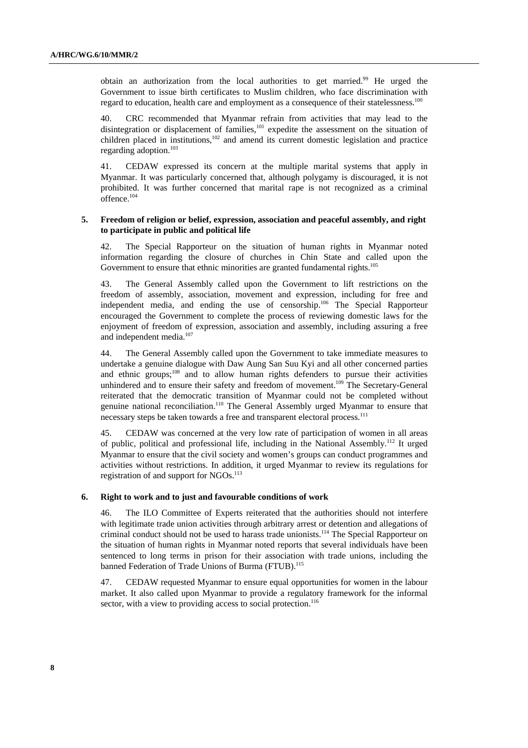obtain an authorization from the local authorities to get married.<sup>99</sup> He urged the Government to issue birth certificates to Muslim children, who face discrimination with regard to education, health care and employment as a consequence of their statelessness.<sup>100</sup>

40. CRC recommended that Myanmar refrain from activities that may lead to the disintegration or displacement of families,<sup>101</sup> expedite the assessment on the situation of children placed in institutions, $102$  and amend its current domestic legislation and practice regarding adoption.<sup>103</sup>

41. CEDAW expressed its concern at the multiple marital systems that apply in Myanmar. It was particularly concerned that, although polygamy is discouraged, it is not prohibited. It was further concerned that marital rape is not recognized as a criminal offence.104

### **5. Freedom of religion or belief, expression, association and peaceful assembly, and right to participate in public and political life**

42. The Special Rapporteur on the situation of human rights in Myanmar noted information regarding the closure of churches in Chin State and called upon the Government to ensure that ethnic minorities are granted fundamental rights.<sup>105</sup>

43. The General Assembly called upon the Government to lift restrictions on the freedom of assembly, association, movement and expression, including for free and independent media, and ending the use of censorship.<sup>106</sup> The Special Rapporteur encouraged the Government to complete the process of reviewing domestic laws for the enjoyment of freedom of expression, association and assembly, including assuring a free and independent media.<sup>107</sup>

44. The General Assembly called upon the Government to take immediate measures to undertake a genuine dialogue with Daw Aung San Suu Kyi and all other concerned parties and ethnic groups;<sup>108</sup> and to allow human rights defenders to pursue their activities unhindered and to ensure their safety and freedom of movement.<sup>109</sup> The Secretary-General reiterated that the democratic transition of Myanmar could not be completed without genuine national reconciliation.<sup>110</sup> The General Assembly urged Myanmar to ensure that necessary steps be taken towards a free and transparent electoral process.<sup>111</sup>

45. CEDAW was concerned at the very low rate of participation of women in all areas of public, political and professional life, including in the National Assembly.<sup>112</sup> It urged Myanmar to ensure that the civil society and women's groups can conduct programmes and activities without restrictions. In addition, it urged Myanmar to review its regulations for registration of and support for NGOs.<sup>113</sup>

#### **6. Right to work and to just and favourable conditions of work**

46. The ILO Committee of Experts reiterated that the authorities should not interfere with legitimate trade union activities through arbitrary arrest or detention and allegations of criminal conduct should not be used to harass trade unionists.<sup>114</sup> The Special Rapporteur on the situation of human rights in Myanmar noted reports that several individuals have been sentenced to long terms in prison for their association with trade unions, including the banned Federation of Trade Unions of Burma (FTUB).<sup>115</sup>

47. CEDAW requested Myanmar to ensure equal opportunities for women in the labour market. It also called upon Myanmar to provide a regulatory framework for the informal sector, with a view to providing access to social protection.<sup>116</sup>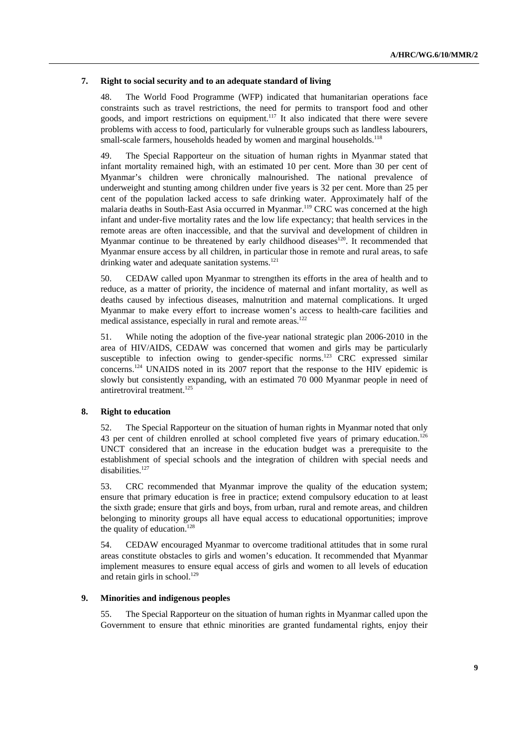#### **7. Right to social security and to an adequate standard of living**

48. The World Food Programme (WFP) indicated that humanitarian operations face constraints such as travel restrictions, the need for permits to transport food and other goods, and import restrictions on equipment.117 It also indicated that there were severe problems with access to food, particularly for vulnerable groups such as landless labourers, small-scale farmers, households headed by women and marginal households.<sup>118</sup>

49. The Special Rapporteur on the situation of human rights in Myanmar stated that infant mortality remained high, with an estimated 10 per cent. More than 30 per cent of Myanmar's children were chronically malnourished. The national prevalence of underweight and stunting among children under five years is 32 per cent. More than 25 per cent of the population lacked access to safe drinking water. Approximately half of the malaria deaths in South-East Asia occurred in Myanmar.<sup>119</sup> CRC was concerned at the high infant and under-five mortality rates and the low life expectancy; that health services in the remote areas are often inaccessible, and that the survival and development of children in Myanmar continue to be threatened by early childhood diseases<sup>120</sup>. It recommended that Myanmar ensure access by all children, in particular those in remote and rural areas, to safe drinking water and adequate sanitation systems.<sup>121</sup>

50. CEDAW called upon Myanmar to strengthen its efforts in the area of health and to reduce, as a matter of priority, the incidence of maternal and infant mortality, as well as deaths caused by infectious diseases, malnutrition and maternal complications. It urged Myanmar to make every effort to increase women's access to health-care facilities and medical assistance, especially in rural and remote areas.<sup>122</sup>

51. While noting the adoption of the five-year national strategic plan 2006-2010 in the area of HIV/AIDS, CEDAW was concerned that women and girls may be particularly susceptible to infection owing to gender-specific norms.<sup>123</sup> CRC expressed similar concerns.124 UNAIDS noted in its 2007 report that the response to the HIV epidemic is slowly but consistently expanding, with an estimated 70 000 Myanmar people in need of antiretroviral treatment.<sup>125</sup>

### **8. Right to education**

52. The Special Rapporteur on the situation of human rights in Myanmar noted that only 43 per cent of children enrolled at school completed five years of primary education.<sup>126</sup> UNCT considered that an increase in the education budget was a prerequisite to the establishment of special schools and the integration of children with special needs and disabilities.<sup>127</sup>

53. CRC recommended that Myanmar improve the quality of the education system; ensure that primary education is free in practice; extend compulsory education to at least the sixth grade; ensure that girls and boys, from urban, rural and remote areas, and children belonging to minority groups all have equal access to educational opportunities; improve the quality of education.<sup>128</sup>

54. CEDAW encouraged Myanmar to overcome traditional attitudes that in some rural areas constitute obstacles to girls and women's education. It recommended that Myanmar implement measures to ensure equal access of girls and women to all levels of education and retain girls in school.<sup>129</sup>

### **9. Minorities and indigenous peoples**

55. The Special Rapporteur on the situation of human rights in Myanmar called upon the Government to ensure that ethnic minorities are granted fundamental rights, enjoy their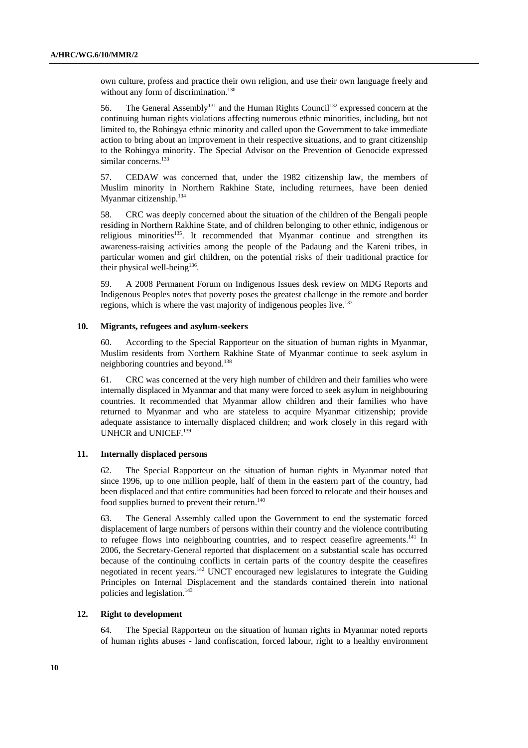own culture, profess and practice their own religion, and use their own language freely and without any form of discrimination.<sup>130</sup>

56. The General Assembly<sup>131</sup> and the Human Rights Council<sup>132</sup> expressed concern at the continuing human rights violations affecting numerous ethnic minorities, including, but not limited to, the Rohingya ethnic minority and called upon the Government to take immediate action to bring about an improvement in their respective situations, and to grant citizenship to the Rohingya minority. The Special Advisor on the Prevention of Genocide expressed similar concerns.<sup>133</sup>

57. CEDAW was concerned that, under the 1982 citizenship law, the members of Muslim minority in Northern Rakhine State, including returnees, have been denied Myanmar citizenship.<sup>134</sup>

58. CRC was deeply concerned about the situation of the children of the Bengali people residing in Northern Rakhine State, and of children belonging to other ethnic, indigenous or religious minorities<sup>135</sup>. It recommended that Myanmar continue and strengthen its awareness-raising activities among the people of the Padaung and the Kareni tribes, in particular women and girl children, on the potential risks of their traditional practice for their physical well-being<sup>136</sup>.

59. A 2008 Permanent Forum on Indigenous Issues desk review on MDG Reports and Indigenous Peoples notes that poverty poses the greatest challenge in the remote and border regions, which is where the vast majority of indigenous peoples live.<sup>137</sup>

#### **10. Migrants, refugees and asylum-seekers**

60. According to the Special Rapporteur on the situation of human rights in Myanmar, Muslim residents from Northern Rakhine State of Myanmar continue to seek asylum in neighboring countries and beyond.<sup>138</sup>

61. CRC was concerned at the very high number of children and their families who were internally displaced in Myanmar and that many were forced to seek asylum in neighbouring countries. It recommended that Myanmar allow children and their families who have returned to Myanmar and who are stateless to acquire Myanmar citizenship; provide adequate assistance to internally displaced children; and work closely in this regard with UNHCR and UNICEF.<sup>139</sup>

## **11. Internally displaced persons**

62. The Special Rapporteur on the situation of human rights in Myanmar noted that since 1996, up to one million people, half of them in the eastern part of the country, had been displaced and that entire communities had been forced to relocate and their houses and food supplies burned to prevent their return.<sup>140</sup>

63. The General Assembly called upon the Government to end the systematic forced displacement of large numbers of persons within their country and the violence contributing to refugee flows into neighbouring countries, and to respect ceasefire agreements.<sup>141</sup> In 2006, the Secretary-General reported that displacement on a substantial scale has occurred because of the continuing conflicts in certain parts of the country despite the ceasefires negotiated in recent years.142 UNCT encouraged new legislatures to integrate the Guiding Principles on Internal Displacement and the standards contained therein into national policies and legislation.<sup>143</sup>

### **12. Right to development**

64. The Special Rapporteur on the situation of human rights in Myanmar noted reports of human rights abuses - land confiscation, forced labour, right to a healthy environment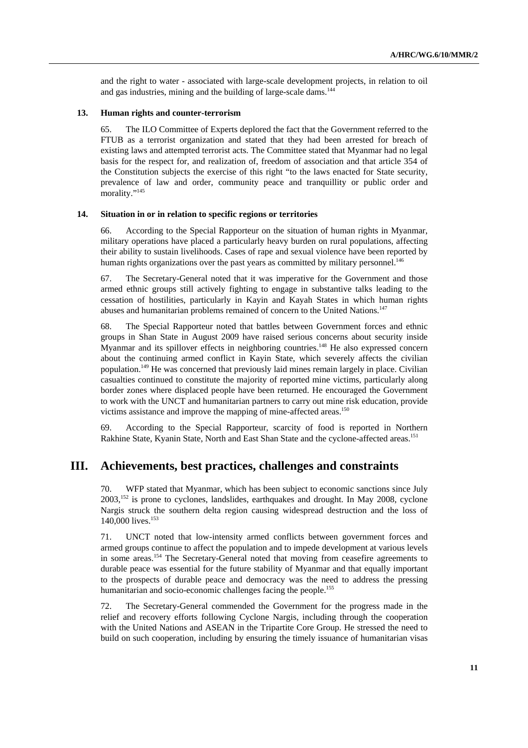and the right to water - associated with large-scale development projects, in relation to oil and gas industries, mining and the building of large-scale dams.<sup>144</sup>

### **13. Human rights and counter-terrorism**

65. The ILO Committee of Experts deplored the fact that the Government referred to the FTUB as a terrorist organization and stated that they had been arrested for breach of existing laws and attempted terrorist acts. The Committee stated that Myanmar had no legal basis for the respect for, and realization of, freedom of association and that article 354 of the Constitution subjects the exercise of this right "to the laws enacted for State security, prevalence of law and order, community peace and tranquillity or public order and morality."<sup>145</sup>

#### **14. Situation in or in relation to specific regions or territories**

66. According to the Special Rapporteur on the situation of human rights in Myanmar, military operations have placed a particularly heavy burden on rural populations, affecting their ability to sustain livelihoods. Cases of rape and sexual violence have been reported by human rights organizations over the past years as committed by military personnel.<sup>146</sup>

67. The Secretary-General noted that it was imperative for the Government and those armed ethnic groups still actively fighting to engage in substantive talks leading to the cessation of hostilities, particularly in Kayin and Kayah States in which human rights abuses and humanitarian problems remained of concern to the United Nations.<sup>147</sup>

68. The Special Rapporteur noted that battles between Government forces and ethnic groups in Shan State in August 2009 have raised serious concerns about security inside Myanmar and its spillover effects in neighboring countries.<sup>148</sup> He also expressed concern about the continuing armed conflict in Kayin State, which severely affects the civilian population.149 He was concerned that previously laid mines remain largely in place. Civilian casualties continued to constitute the majority of reported mine victims, particularly along border zones where displaced people have been returned. He encouraged the Government to work with the UNCT and humanitarian partners to carry out mine risk education, provide victims assistance and improve the mapping of mine-affected areas.<sup>150</sup>

69. According to the Special Rapporteur, scarcity of food is reported in Northern Rakhine State, Kyanin State, North and East Shan State and the cyclone-affected areas.151

## **III. Achievements, best practices, challenges and constraints**

70. WFP stated that Myanmar, which has been subject to economic sanctions since July 2003,152 is prone to cyclones, landslides, earthquakes and drought. In May 2008, cyclone Nargis struck the southern delta region causing widespread destruction and the loss of 140,000 lives.153

71. UNCT noted that low-intensity armed conflicts between government forces and armed groups continue to affect the population and to impede development at various levels in some areas.154 The Secretary-General noted that moving from ceasefire agreements to durable peace was essential for the future stability of Myanmar and that equally important to the prospects of durable peace and democracy was the need to address the pressing humanitarian and socio-economic challenges facing the people.<sup>155</sup>

72. The Secretary-General commended the Government for the progress made in the relief and recovery efforts following Cyclone Nargis, including through the cooperation with the United Nations and ASEAN in the Tripartite Core Group. He stressed the need to build on such cooperation, including by ensuring the timely issuance of humanitarian visas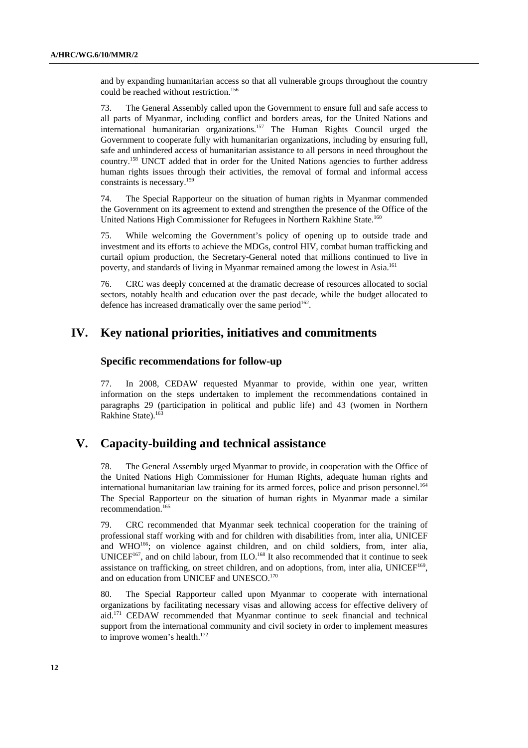and by expanding humanitarian access so that all vulnerable groups throughout the country could be reached without restriction.<sup>156</sup>

73. The General Assembly called upon the Government to ensure full and safe access to all parts of Myanmar, including conflict and borders areas, for the United Nations and international humanitarian organizations.157 The Human Rights Council urged the Government to cooperate fully with humanitarian organizations, including by ensuring full, safe and unhindered access of humanitarian assistance to all persons in need throughout the country.158 UNCT added that in order for the United Nations agencies to further address human rights issues through their activities, the removal of formal and informal access constraints is necessary.159

74. The Special Rapporteur on the situation of human rights in Myanmar commended the Government on its agreement to extend and strengthen the presence of the Office of the United Nations High Commissioner for Refugees in Northern Rakhine State.<sup>160</sup>

75. While welcoming the Government's policy of opening up to outside trade and investment and its efforts to achieve the MDGs, control HIV, combat human trafficking and curtail opium production, the Secretary-General noted that millions continued to live in poverty, and standards of living in Myanmar remained among the lowest in Asia.<sup>161</sup>

76. CRC was deeply concerned at the dramatic decrease of resources allocated to social sectors, notably health and education over the past decade, while the budget allocated to defence has increased dramatically over the same period<sup>162</sup>.

## **IV. Key national priorities, initiatives and commitments**

## **Specific recommendations for follow-up**

77. In 2008, CEDAW requested Myanmar to provide, within one year, written information on the steps undertaken to implement the recommendations contained in paragraphs 29 (participation in political and public life) and 43 (women in Northern Rakhine State).<sup>16</sup>

# **V. Capacity-building and technical assistance**

78. The General Assembly urged Myanmar to provide, in cooperation with the Office of the United Nations High Commissioner for Human Rights, adequate human rights and international humanitarian law training for its armed forces, police and prison personnel.<sup>164</sup> The Special Rapporteur on the situation of human rights in Myanmar made a similar recommendation.165

79. CRC recommended that Myanmar seek technical cooperation for the training of professional staff working with and for children with disabilities from, inter alia, UNICEF and WHO<sup>166</sup>; on violence against children, and on child soldiers, from, inter alia, UNICEF<sup>167</sup>, and on child labour, from ILO.<sup>168</sup> It also recommended that it continue to seek assistance on trafficking, on street children, and on adoptions, from, inter alia, UNICEF<sup>169</sup>, and on education from UNICEF and UNESCO.<sup>170</sup>

80. The Special Rapporteur called upon Myanmar to cooperate with international organizations by facilitating necessary visas and allowing access for effective delivery of aid.171 CEDAW recommended that Myanmar continue to seek financial and technical support from the international community and civil society in order to implement measures to improve women's health.<sup>172</sup>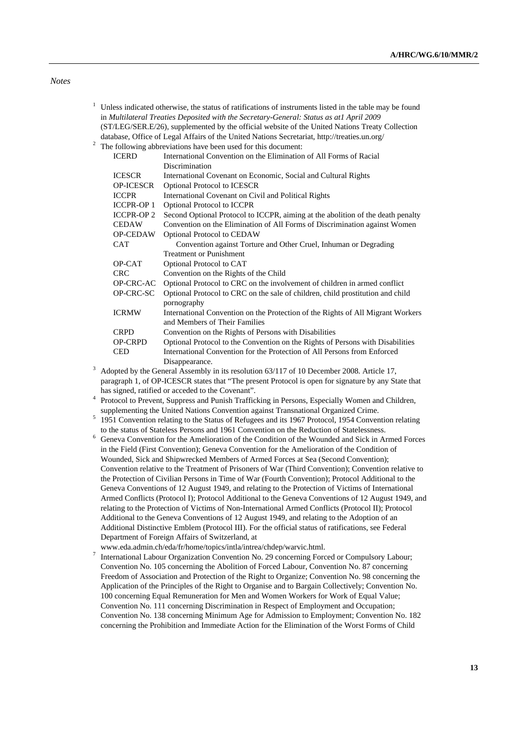*Notes* 

1

| <sup>1</sup> Unless indicated otherwise, the status of ratifications of instruments listed in the table may be found |
|----------------------------------------------------------------------------------------------------------------------|
| in Multilateral Treaties Deposited with the Secretary-General: Status as atl April 2009                              |
| (ST/LEG/SER.E/26), supplemented by the official website of the United Nations Treaty Collection                      |
| database, Office of Legal Affairs of the United Nations Secretariat, http://treaties.un.org/                         |
| $2^2$ The following abbreviations have been used for this document:                                                  |

| <b>ICERD</b>      | International Convention on the Elimination of All Forms of Racial                        |
|-------------------|-------------------------------------------------------------------------------------------|
|                   | Discrimination                                                                            |
| <b>ICESCR</b>     | International Covenant on Economic, Social and Cultural Rights                            |
| <b>OP-ICESCR</b>  | Optional Protocol to ICESCR                                                               |
| <b>ICCPR</b>      | International Covenant on Civil and Political Rights                                      |
| <b>ICCPR-OP1</b>  | <b>Optional Protocol to ICCPR</b>                                                         |
| <b>ICCPR-OP 2</b> | Second Optional Protocol to ICCPR, aiming at the abolition of the death penalty           |
| <b>CEDAW</b>      | Convention on the Elimination of All Forms of Discrimination against Women                |
| <b>OP-CEDAW</b>   | <b>Optional Protocol to CEDAW</b>                                                         |
| <b>CAT</b>        | Convention against Torture and Other Cruel, Inhuman or Degrading                          |
|                   | <b>Treatment or Punishment</b>                                                            |
| OP-CAT            | Optional Protocol to CAT                                                                  |
| <b>CRC</b>        | Convention on the Rights of the Child                                                     |
| OP-CRC-AC         | Optional Protocol to CRC on the involvement of children in armed conflict                 |
| OP-CRC-SC         | Optional Protocol to CRC on the sale of children, child prostitution and child            |
|                   | pornography                                                                               |
| <b>ICRMW</b>      | International Convention on the Protection of the Rights of All Migrant Workers           |
|                   | and Members of Their Families                                                             |
| <b>CRPD</b>       | Convention on the Rights of Persons with Disabilities                                     |
| <b>OP-CRPD</b>    | Optional Protocol to the Convention on the Rights of Persons with Disabilities            |
| <b>CED</b>        | International Convention for the Protection of All Persons from Enforced                  |
|                   | Disappearance.                                                                            |
|                   | Adopted by the General Assembly in its resolution 63/117 of 10 December 2008. Article 17, |
|                   |                                                                                           |

paragraph 1, of OP-ICESCR states that "The present Protocol is open for signature by any State that has signed, ratified or acceded to the Covenant".

<sup>4</sup> Protocol to Prevent, Suppress and Punish Trafficking in Persons, Especially Women and Children, supplementing the United Nations Convention against Transnational Organized Crime. 5

<sup>5</sup> 1951 Convention relating to the Status of Refugees and its 1967 Protocol, 1954 Convention relating to the status of Stateless Persons and 1961 Convention on the Reduction of Statelessness.

 $6$  Geneva Convention for the Amelioration of the Condition of the Wounded and Sick in Armed Forces in the Field (First Convention); Geneva Convention for the Amelioration of the Condition of Wounded, Sick and Shipwrecked Members of Armed Forces at Sea (Second Convention); Convention relative to the Treatment of Prisoners of War (Third Convention); Convention relative to the Protection of Civilian Persons in Time of War (Fourth Convention); Protocol Additional to the Geneva Conventions of 12 August 1949, and relating to the Protection of Victims of International Armed Conflicts (Protocol I); Protocol Additional to the Geneva Conventions of 12 August 1949, and relating to the Protection of Victims of Non-International Armed Conflicts (Protocol II); Protocol Additional to the Geneva Conventions of 12 August 1949, and relating to the Adoption of an Additional Distinctive Emblem (Protocol III). For the official status of ratifications, see Federal Department of Foreign Affairs of Switzerland, at

www.eda.admin.ch/eda/fr/home/topics/intla/intrea/chdep/warvic.html.<br>7 International Labour Organization Convention No. 29 concerning Force International Labour Organization Convention No. 29 concerning Forced or Compulsory Labour; Convention No. 105 concerning the Abolition of Forced Labour, Convention No. 87 concerning Freedom of Association and Protection of the Right to Organize; Convention No. 98 concerning the Application of the Principles of the Right to Organise and to Bargain Collectively; Convention No. 100 concerning Equal Remuneration for Men and Women Workers for Work of Equal Value; Convention No. 111 concerning Discrimination in Respect of Employment and Occupation; Convention No. 138 concerning Minimum Age for Admission to Employment; Convention No. 182 concerning the Prohibition and Immediate Action for the Elimination of the Worst Forms of Child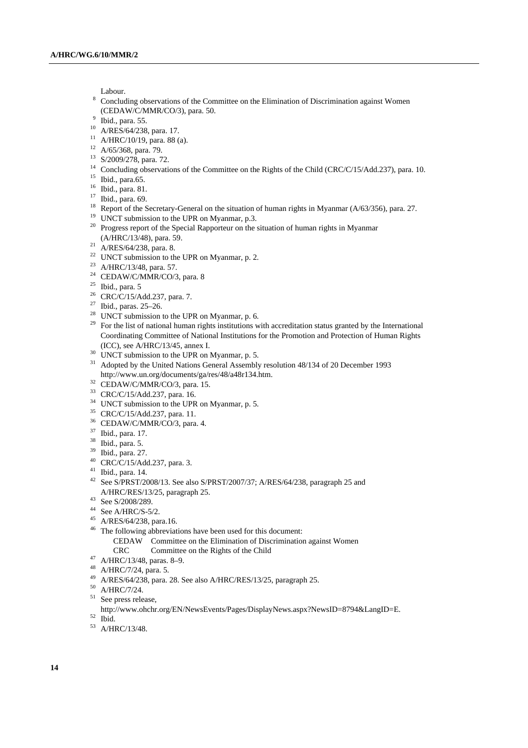- Labour.<br><sup>8</sup> Concluding observations of the Committee on the Elimination of Discrimination against Women (CEDAW/C/MMR/CO/3), para. 50.
- $9$  Ibid., para. 55.
- 10 A/RES/64/238, para. 17.
- $11$  A/HRC/10/19, para. 88 (a).
- $12$  A/65/368, para. 79.
- 
- 13 S/2009/278, para. 72.
- <sup>14</sup> Concluding observations of the Committee on the Rights of the Child (CRC/C/15/Add.237), para. 10.<br><sup>15</sup> Ibid., para.65.
- 
- 16 Ibid., para. 81.
- 17 Ibid., para. 69.
- <sup>18</sup> Report of the Secretary-General on the situation of human rights in Myanmar (A/63/356), para. 27.<br><sup>19</sup> UNCT submission to the UPR on Myanmar, p.3.
- 
- <sup>20</sup> Progress report of the Special Rapporteur on the situation of human rights in Myanmar (A/HRC/13/48), para. 59. 21 A/RES/64/238, para. 8.
- 
- <sup>22</sup> UNCT submission to the UPR on Myanmar, p. 2.
- 23 A/HRC/13/48, para. 57.
- <sup>24</sup> CEDAW/C/MMR/CO/3, para. 8
- $25$  Ibid., para. 5
- 26 CRC/C/15/Add.237, para. 7.
- 27 Ibid., paras. 25–26.
- $28$  UNCT submission to the UPR on Myanmar, p. 6.
- <sup>29</sup> For the list of national human rights institutions with accreditation status granted by the International Coordinating Committee of National Institutions for the Promotion and Protection of Human Rights
- $\frac{130}{100}$  UNCT submission to the UPR on Myanmar, p. 5.
- <sup>31</sup> Adopted by the United Nations General Assembly resolution 48/134 of 20 December 1993 http://www.un.org/documents/ga/res/48/a48r134.htm. 32 CEDAW/C/MMR/CO/3, para. 15.
- 
- 33 CRC/C/15/Add.237, para. 16.
- <sup>34</sup> UNCT submission to the UPR on Myanmar, p. 5.
- 35 CRC/C/15/Add.237, para. 11.
- 36 CEDAW/C/MMR/CO/3, para. 4.
- 37 Ibid., para. 17.
- 38 Ibid., para. 5.
- 39 Ibid., para. 27.
- 40 CRC/C/15/Add.237, para. 3.
- 41 Ibid., para. 14.
- 42 See S/PRST/2008/13. See also S/PRST/2007/37; A/RES/64/238, paragraph 25 and A/HRC/RES/13/25, paragraph 25. 43 See S/2008/289.
- 
- $44$  See A/HRC/S-5/2.
- 45 A/RES/64/238, para.16.
- 46 The following abbreviations have been used for this document:
	- CEDAW Committee on the Elimination of Discrimination against Women
- CRC Committee on the Rights of the Child 47 A/HRC/13/48, paras. 8–9.
- 
- 48 A/HRC/7/24, para. 5.
- <sup>49</sup> A/RES/64/238, para. 28. See also A/HRC/RES/13/25, paragraph 25.<br><sup>50</sup> A/HRC/7/24.
- 
- 51 See press release,
- <code>http://www.ohchr.org/EN/NewsEvents/Pages/DisplayNews.aspx?NewsID=8794&LangID=E.</code>  $^{\rm 52}$  <code>Ibid</code>
- 53 A/HRC/13/48.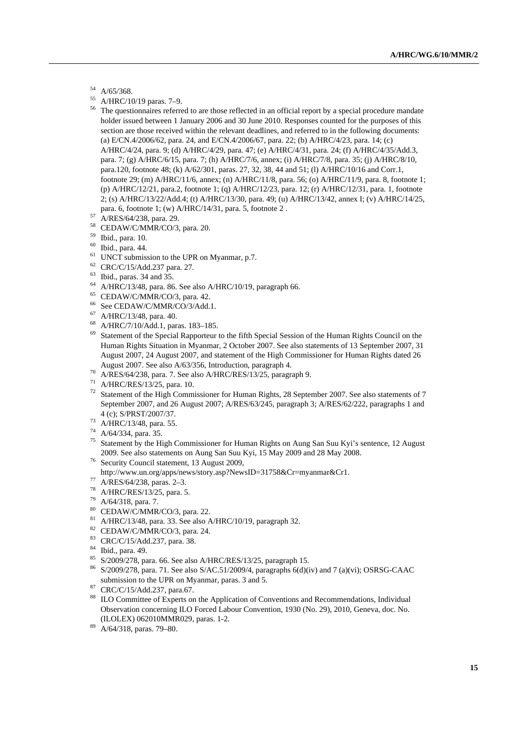- 54 A/65/368.
- 55 A/HRC/10/19 paras. 7–9.
- <sup>56</sup> The questionnaires referred to are those reflected in an official report by a special procedure mandate holder issued between 1 January 2006 and 30 June 2010. Responses counted for the purposes of this section are those received within the relevant deadlines, and referred to in the following documents: (a) E/CN.4/2006/62, para. 24, and E/CN.4/2006/67, para. 22; (b) A/HRC/4/23, para. 14; (c) A/HRC/4/24, para. 9; (d) A/HRC/4/29, para. 47; (e) A/HRC/4/31, para. 24; (f) A/HRC/4/35/Add.3, para. 7; (g) A/HRC/6/15, para. 7; (h) A/HRC/7/6, annex; (i) A/HRC/7/8, para. 35; (j) A/HRC/8/10, para.120, footnote 48; (k) A/62/301, paras. 27, 32, 38, 44 and 51; (l) A/HRC/10/16 and Corr.1, footnote 29; (m) A/HRC/11/6, annex; (n) A/HRC/11/8, para. 56; (o) A/HRC/11/9, para. 8, footnote 1; (p) A/HRC/12/21, para.2, footnote 1; (q) A/HRC/12/23, para. 12; (r) A/HRC/12/31, para. 1, footnote 2; (s) A/HRC/13/22/Add.4; (t) A/HRC/13/30, para. 49; (u) A/HRC/13/42, annex I; (v) A/HRC/14/25, para. 6, footnote 1; (w) A/HRC/14/31, para. 5, footnote 2 . 57 A/RES/64/238, para. 29.
- 
- 58 CEDAW/C/MMR/CO/3, para. 20.
- 59 Ibid., para. 10.
- 60 Ibid., para. 44.
- $61$  UNCT submission to the UPR on Myanmar, p.7.
- 62 CRC/C/15/Add.237 para. 27.
- $^{63}$  Ibid., paras. 34 and 35.
- <sup>64</sup> A/HRC/13/48, para. 86. See also A/HRC/10/19, paragraph 66.<br><sup>65</sup> CEDAW/C/MMR/CO/3, para. 42.
- 
- <sup>66</sup> See CEDAW/C/MMR/CO/3/Add.1.<br><sup>67</sup> A/HPC/12/48 para 40
- A/HRC/13/48, para. 40.
- 68 A/HRC/7/10/Add.1, paras. 183–185.
- <sup>69</sup> Statement of the Special Rapporteur to the fifth Special Session of the Human Rights Council on the Human Rights Situation in Myanmar, 2 October 2007. See also statements of 13 September 2007, 31 August 2007, 24 August 2007, and statement of the High Commissioner for Human Rights dated 26 August 2007. See also A/63/356, Introduction, paragraph 4.<br><sup>70</sup> A/RES/64/238, para. 7. See also A/HRC/RES/13/25, paragraph 9.<br><sup>71</sup> A/HRC/RES/13/25, para. 10.
- 
- 
- 72 Statement of the High Commissioner for Human Rights, 28 September 2007. See also statements of 7 September 2007, and 26 August 2007; A/RES/63/245, paragraph 3; A/RES/62/222, paragraphs 1 and
- 4 (c); S/PRST/2007/37. 73 A/HRC/13/48, para. 55.
- 74 A/64/334, para. 35.
- <sup>75</sup> Statement by the High Commissioner for Human Rights on Aung San Suu Kyi's sentence, 12 August 2009. See also statements on Aung San Suu Kyi, 15 May 2009 and 28 May 2008. 76 Security Council statement, 13 August 2009,
- 
- http://www.un.org/apps/news/story.asp?NewsID=31758&Cr=myanmar&Cr1. 77 A/RES/64/238, paras. 2–3.
- 
- 78 A/HRC/RES/13/25, para. 5.
- 79 A/64/318, para. 7.
- 80 CEDAW/C/MMR/CO/3, para. 22.
- <sup>81</sup> A/HRC/13/48, para. 33. See also A/HRC/10/19, paragraph 32.<br><sup>82</sup> CEDAW/C/MMR/CO/3, para. 24.
- 
- 83 CRC/C/15/Add.237, para. 38.
- 84 Ibid., para. 49.
- 85 S/2009/278, para. 66. See also A/HRC/RES/13/25, paragraph 15.
- 86 S/2009/278, para. 71. See also S/AC.51/2009/4, paragraphs 6(d)(iv) and 7 (a)(vi); OSRSG-CAAC submission to the UPR on Myanmar, paras. 3 and 5.<br><sup>87</sup> CRC/C/15/Add.237, para.67.
- 
- <sup>88</sup> ILO Committee of Experts on the Application of Conventions and Recommendations, Individual Observation concerning ILO Forced Labour Convention, 1930 (No. 29), 2010, Geneva, doc. No. (ILOLEX) 062010MMR029, paras. 1-2. 89 A/64/318, paras. 79–80.
-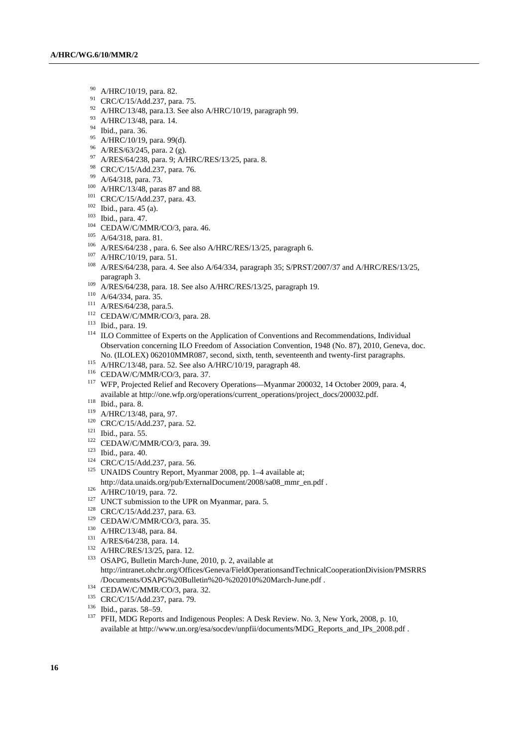- 90 A/HRC/10/19, para. 82.
- <sup>91</sup> CRC/C/15/Add.237, para. 75.
- <sup>92</sup> A/HRC/13/48, para.13. See also A/HRC/10/19, paragraph 99.<br><sup>93</sup> A/HRC/13/48, para. 14.
- 
- $^{94}$  Ibid., para. 36.
- A/HRC/10/19, para. 99(d).
- 96 A/RES/63/245, para. 2 (g).
- 97 A/RES/64/238, para. 9; A/HRC/RES/13/25, para. 8.<br>
98 CRC/C/15/Add.237, para. 76.<br>
99 A/64/318, para. 73.
- 
- 
- 
- 
- 
- 
- 
- 
- 
- 
- <sup>100</sup> A/HRC/13/48, paras 87 and 88.<br>
<sup>101</sup> CRC/C/15/Add.237, para. 43.<br>
<sup>102</sup> Ibid., para. 45 (a).<br>
<sup>103</sup> Ibid., para. 47.<br>
<sup>104</sup> CEDAW/C/MMR/CO/3, para. 46.<br>
<sup>106</sup> A/64/318, para. 81.<br>
<sup>106</sup> A/RES/64/238 , para. 6. See a
- 
- 
- 
- 
- 
- <sup>109</sup> A/RES/64/238, para. 18. See also A/HRC/RES/13/25, paragraph 19.<br><sup>110</sup> A/64/334, para. 35.<br><sup>111</sup> A/RES/64/238, para.5.<br><sup>112</sup> CEDAW/C/MMR/CO/3, para. 28.<br><sup>113</sup> Ibid., para. 19.<br><sup>113</sup> ILO Committee of Experts on the Ap Observation concerning ILO Freedom of Association Convention, 1948 (No. 87), 2010, Geneva, doc. No. (ILOLEX) 062010MMR087, second, sixth, tenth, seventeenth and twenty-first paragraphs.<br>
A/HRC/13/48, para. 52. See also A/HRC/10/19, paragraph 48.<br>
<sup>116</sup> CEDAW/C/MMR/CO/3, para. 37.<br>
<sup>117</sup> WFP. Proiected Relief and Reco
- 
- 
- available at http://one.wfp.org/operations/current\_operations/project\_docs/200032.pdf.<br>
<sup>118</sup> Ibid., para. 8.<br>
<sup>119</sup> A/HRC/13/48, para, 97.<br>
<sup>120</sup> CRC/C/15/Add.237, para. 52.<br>
<sup>121</sup> Ibid., para. 55.<br>
<sup>121</sup> CEDAW/C/MMR/CO/3
- 
- 
- 
- 
- 
- 
- 
- 
- 
- 
- 
- 
- 
- 
- 
- 
- http://data.unaids.org/pub/ExternalDocument/2008/sa08\_mmr\_en.pdf .<br>
<sup>126</sup> A/HRC/10/19, para. 72.<br>
<sup>127</sup> UNCT submission to the UPR on Myanmar, para. 5.<br>
<sup>128</sup> CRC/C/15/Add.237, para. 63.<br>
<sup>129</sup> CEDAW/C/MMR/CO/3, para. 35.<br> http://intranet.ohchr.org/Offices/Geneva/FieldOperationsandTechnicalCooperationDivision/PMSRRS /Documents/OSAPG%20Bulletin%20-%202010%20March-June.pdf .<br>
<sup>134</sup> CEDAW/C/MMR/CO/3, para. 32.<br>
<sup>135</sup> CRC/C/15/Add.237, para. 79.<br>
<sup>136</sup> Ibid., paras. 58–59.<br>
<sup>136</sup> Ibid., paras. 58–59.<br>
<sup>137</sup> PFII, MDG Reports and Indigenou
- 
- 
- 

available at http://www.un.org/esa/socdev/unpfii/documents/MDG\_Reports\_and\_IPs\_2008.pdf .